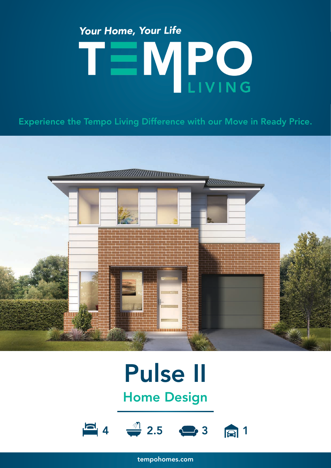## Your Home, Your Life TEMPO

Experience the Tempo Living Difference with our Move in Ready Price.



### Pulse II Home Design



tempohomes.com